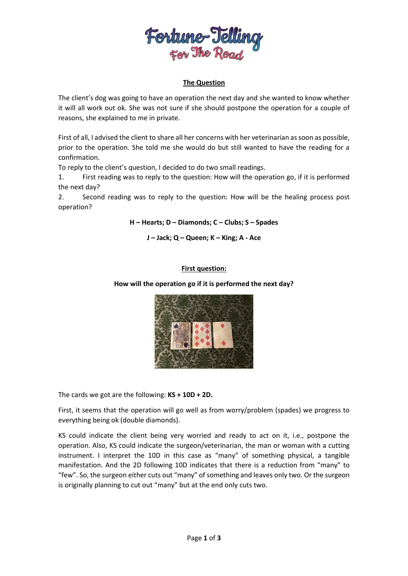

## **The Question**

The client's dog was going to have an operation the next day and she wanted to know whether it will all work out ok. She was not sure if she should postpone the operation for a couple of reasons, she explained to me in private.

First of all, I advised the client to share all her concerns with her veterinarian as soon as possible, prior to the operation. She told me she would do but still wanted to have the reading for a confirmation.

To reply to the client's question, I decided to do two small readings.

1. First reading was to reply to the question: How will the operation go, if it is performed the next day?

2. Second reading was to reply to the question: How will be the healing process post operation?

**H – Hearts; D – Diamonds; C – Clubs; S – Spades**

**J – Jack; Q – Queen; K – King; A - Ace**

# **First question:**

### **How will the operation go if it is performed the next day?**



The cards we got are the following: **KS + 10D + 2D.**

First, it seems that the operation will go well as from worry/problem (spades) we progress to everything being ok (double diamonds).

KS could indicate the client being very worried and ready to act on it, i.e., postpone the operation. Also, KS could indicate the surgeon/veterinarian, the man or woman with a cutting instrument. I interpret the 10D in this case as "many" of something physical, a tangible manifestation. And the 2D following 10D indicates that there is a reduction from "many" to "few". So, the surgeon either cuts out "many" of something and leaves only two. Or the surgeon is originally planning to cut out "many" but at the end only cuts two.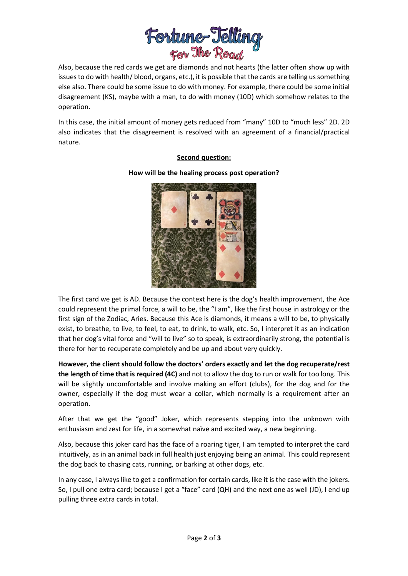

Also, because the red cards we get are diamonds and not hearts (the latter often show up with issues to do with health/ blood, organs, etc.), it is possible that the cards are telling us something else also. There could be some issue to do with money. For example, there could be some initial disagreement (KS), maybe with a man, to do with money (10D) which somehow relates to the operation.

In this case, the initial amount of money gets reduced from "many" 10D to "much less" 2D. 2D also indicates that the disagreement is resolved with an agreement of a financial/practical nature.

## **Second question:**

#### **How will be the healing process post operation?**



The first card we get is AD. Because the context here is the dog's health improvement, the Ace could represent the primal force, a will to be, the "I am", like the first house in astrology or the first sign of the Zodiac, Aries. Because this Ace is diamonds, it means a will to be, to physically exist, to breathe, to live, to feel, to eat, to drink, to walk, etc. So, I interpret it as an indication that her dog's vital force and "will to live" so to speak, is extraordinarily strong, the potential is there for her to recuperate completely and be up and about very quickly.

**However, the client should follow the doctors' orders exactly and let the dog recuperate/rest the length of time that is required (4C)** and not to allow the dog to run or walk for too long. This will be slightly uncomfortable and involve making an effort (clubs), for the dog and for the owner, especially if the dog must wear a collar, which normally is a requirement after an operation.

After that we get the "good" Joker, which represents stepping into the unknown with enthusiasm and zest for life, in a somewhat naïve and excited way, a new beginning.

Also, because this joker card has the face of a roaring tiger, I am tempted to interpret the card intuitively, as in an animal back in full health just enjoying being an animal. This could represent the dog back to chasing cats, running, or barking at other dogs, etc.

In any case, I always like to get a confirmation for certain cards, like it is the case with the jokers. So, I pull one extra card; because I get a "face" card (QH) and the next one as well (JD), I end up pulling three extra cards in total.